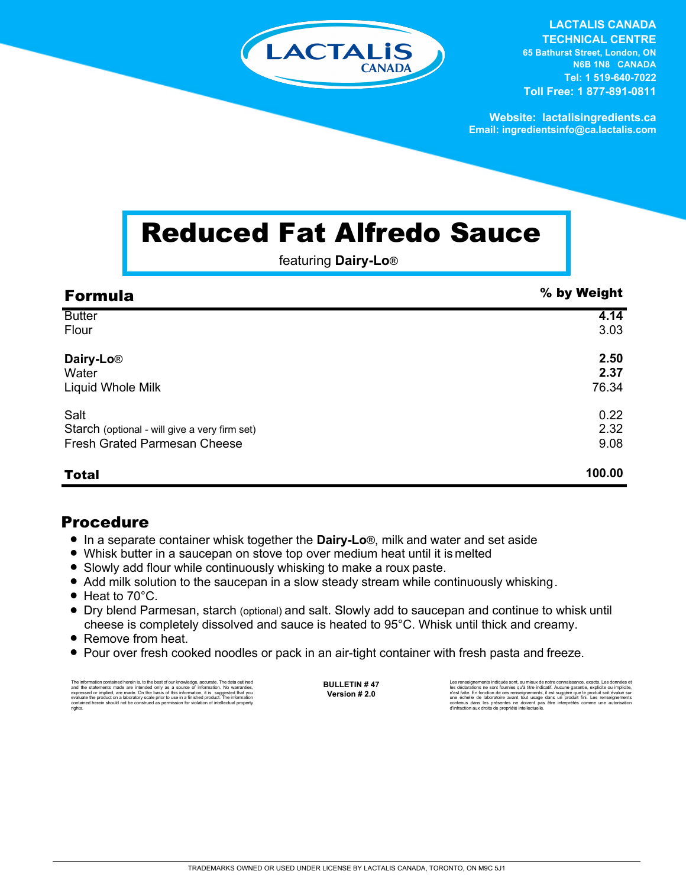

**LACTALIS CANADA TECHNICAL CENTRE 65 Bathurst Street, London, ON N6B 1N8 CANADA Tel: 1 519-640-7022 Toll Free: 1 877-891-0811**

**Website: lactalisingredients.ca Email: ingredientsinfo@ca.lactalis.com**

## Reduced Fat Alfredo Sauce

featuring **Dairy-Lo**®

| <b>Formula</b>                                | % by Weight |
|-----------------------------------------------|-------------|
| <b>Butter</b>                                 | 4.14        |
| Flour                                         | 3.03        |
| Dairy-Lo <sup>®</sup>                         | 2.50        |
| Water                                         | 2.37        |
| Liquid Whole Milk                             | 76.34       |
| Salt                                          | 0.22        |
| Starch (optional - will give a very firm set) | 2.32        |
| <b>Fresh Grated Parmesan Cheese</b>           | 9.08        |
| <b>Total</b>                                  | 100.00      |

## Procedure

- In a separate container whisk together the **Dairy-Lo**®, milk and water and set aside
- Whisk butter in a saucepan on stove top over medium heat until it is melted
- Slowly add flour while continuously whisking to make a roux paste.
- Add milk solution to the saucepan in a slow steady stream while continuously whisking.
- $\bullet$  Heat to 70 $^{\circ}$ C.
- = Dry blend Parmesan, starch (optional) and salt. Slowly add to saucepan and continue to whisk until cheese is completely dissolved and sauce is heated to 95°C. Whisk until thick and creamy.
- Remove from heat.
- Pour over fresh cooked noodles or pack in an air-tight container with fresh pasta and freeze.

The information contained herein is, to the best of our knowledge, accurate. The data cutlined the statements made are intended only as a source of information. No warranties, expressed or implied, are made. On the basis o

**BULLETIN # 47 Version # 2.0**

Les renseignements indiqués sont, au mieux de notre connaissance, exacts. Les données et les déclarations ne sont fournies qu'à titre indicatif. Aucune garantie, explicite ou implicite,<br>n'est faite. En fonction de ces renseignements, il est suggéré que le produit soit évalué sur<br>une échelle de laboratoire avan